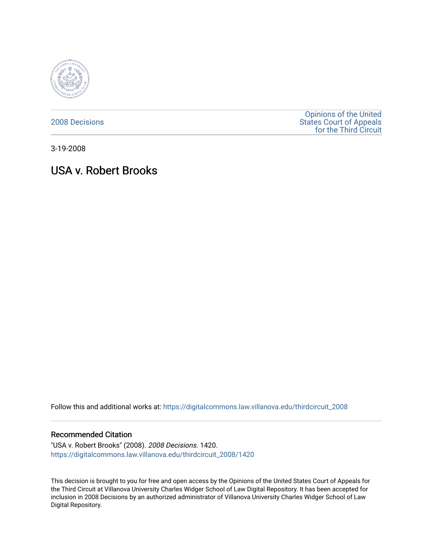

[2008 Decisions](https://digitalcommons.law.villanova.edu/thirdcircuit_2008)

[Opinions of the United](https://digitalcommons.law.villanova.edu/thirdcircuit)  [States Court of Appeals](https://digitalcommons.law.villanova.edu/thirdcircuit)  [for the Third Circuit](https://digitalcommons.law.villanova.edu/thirdcircuit) 

3-19-2008

# USA v. Robert Brooks

Follow this and additional works at: [https://digitalcommons.law.villanova.edu/thirdcircuit\\_2008](https://digitalcommons.law.villanova.edu/thirdcircuit_2008?utm_source=digitalcommons.law.villanova.edu%2Fthirdcircuit_2008%2F1420&utm_medium=PDF&utm_campaign=PDFCoverPages) 

### Recommended Citation

"USA v. Robert Brooks" (2008). 2008 Decisions. 1420. [https://digitalcommons.law.villanova.edu/thirdcircuit\\_2008/1420](https://digitalcommons.law.villanova.edu/thirdcircuit_2008/1420?utm_source=digitalcommons.law.villanova.edu%2Fthirdcircuit_2008%2F1420&utm_medium=PDF&utm_campaign=PDFCoverPages) 

This decision is brought to you for free and open access by the Opinions of the United States Court of Appeals for the Third Circuit at Villanova University Charles Widger School of Law Digital Repository. It has been accepted for inclusion in 2008 Decisions by an authorized administrator of Villanova University Charles Widger School of Law Digital Repository.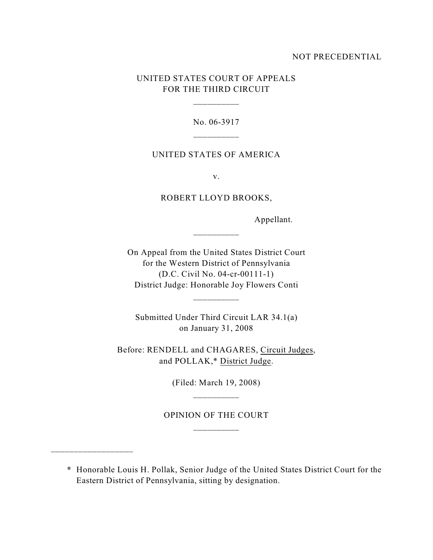### NOT PRECEDENTIAL

# UNITED STATES COURT OF APPEALS FOR THE THIRD CIRCUIT

\_\_\_\_\_\_\_\_\_\_

No. 06-3917 \_\_\_\_\_\_\_\_\_\_

### UNITED STATES OF AMERICA

v.

## ROBERT LLOYD BROOKS,

\_\_\_\_\_\_\_\_\_\_

Appellant.

On Appeal from the United States District Court for the Western District of Pennsylvania (D.C. Civil No. 04-cr-00111-1) District Judge: Honorable Joy Flowers Conti

\_\_\_\_\_\_\_\_\_\_

Submitted Under Third Circuit LAR 34.1(a) on January 31, 2008

Before: RENDELL and CHAGARES, Circuit Judges, and POLLAK,\* District Judge.

> (Filed: March 19, 2008) \_\_\_\_\_\_\_\_\_\_

OPINION OF THE COURT \_\_\_\_\_\_\_\_\_\_

**\*** Honorable Louis H. Pollak, Senior Judge of the United States District Court for the Eastern District of Pennsylvania, sitting by designation.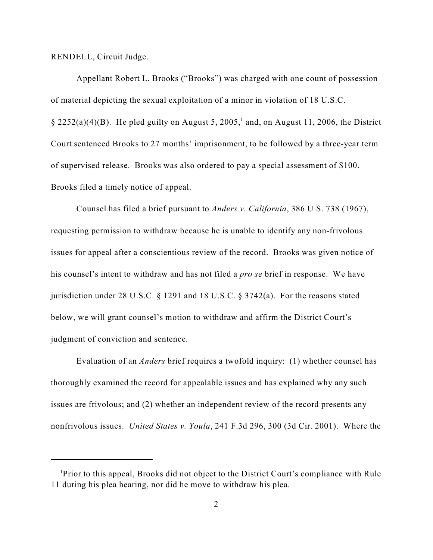### RENDELL, Circuit Judge.

Appellant Robert L. Brooks ("Brooks") was charged with one count of possession of material depicting the sexual exploitation of a minor in violation of 18 U.S.C.  $\S 2252(a)(4)(B)$ . He pled guilty on August 5, 2005,<sup>1</sup> and, on August 11, 2006, the District Court sentenced Brooks to 27 months' imprisonment, to be followed by a three-year term of supervised release. Brooks was also ordered to pay a special assessment of \$100. Brooks filed a timely notice of appeal.

Counsel has filed a brief pursuant to *Anders v. California*, 386 U.S. 738 (1967), requesting permission to withdraw because he is unable to identify any non-frivolous issues for appeal after a conscientious review of the record. Brooks was given notice of his counsel's intent to withdraw and has not filed a *pro se* brief in response. We have jurisdiction under 28 U.S.C. § 1291 and 18 U.S.C. § 3742(a). For the reasons stated below, we will grant counsel's motion to withdraw and affirm the District Court's judgment of conviction and sentence.

Evaluation of an *Anders* brief requires a twofold inquiry: (1) whether counsel has thoroughly examined the record for appealable issues and has explained why any such issues are frivolous; and (2) whether an independent review of the record presents any nonfrivolous issues. *United States v. Youla*, 241 F.3d 296, 300 (3d Cir. 2001). Where the

<sup>&</sup>lt;sup>1</sup>Prior to this appeal, Brooks did not object to the District Court's compliance with Rule 11 during his plea hearing, nor did he move to withdraw his plea.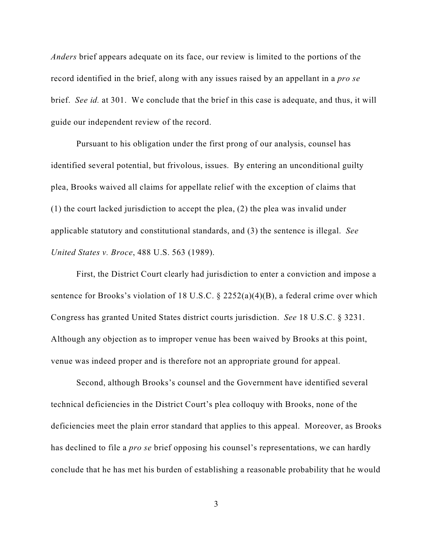*Anders* brief appears adequate on its face, our review is limited to the portions of the record identified in the brief, along with any issues raised by an appellant in a *pro se* brief. *See id.* at 301. We conclude that the brief in this case is adequate, and thus, it will guide our independent review of the record.

Pursuant to his obligation under the first prong of our analysis, counsel has identified several potential, but frivolous, issues. By entering an unconditional guilty plea, Brooks waived all claims for appellate relief with the exception of claims that (1) the court lacked jurisdiction to accept the plea, (2) the plea was invalid under applicable statutory and constitutional standards, and (3) the sentence is illegal. *See United States v. Broce*, 488 U.S. 563 (1989).

First, the District Court clearly had jurisdiction to enter a conviction and impose a sentence for Brooks's violation of 18 U.S.C. § 2252(a)(4)(B), a federal crime over which Congress has granted United States district courts jurisdiction. *See* 18 U.S.C. § 3231. Although any objection as to improper venue has been waived by Brooks at this point, venue was indeed proper and is therefore not an appropriate ground for appeal.

Second, although Brooks's counsel and the Government have identified several technical deficiencies in the District Court's plea colloquy with Brooks, none of the deficiencies meet the plain error standard that applies to this appeal. Moreover, as Brooks has declined to file a *pro se* brief opposing his counsel's representations, we can hardly conclude that he has met his burden of establishing a reasonable probability that he would

3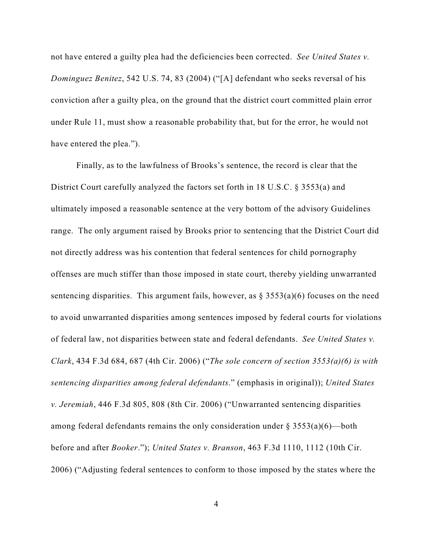not have entered a guilty plea had the deficiencies been corrected. *See United States v. Dominguez Benitez*, 542 U.S. 74, 83 (2004) ("[A] defendant who seeks reversal of his conviction after a guilty plea, on the ground that the district court committed plain error under Rule 11, must show a reasonable probability that, but for the error, he would not have entered the plea.").

Finally, as to the lawfulness of Brooks's sentence, the record is clear that the District Court carefully analyzed the factors set forth in 18 U.S.C. § 3553(a) and ultimately imposed a reasonable sentence at the very bottom of the advisory Guidelines range. The only argument raised by Brooks prior to sentencing that the District Court did not directly address was his contention that federal sentences for child pornography offenses are much stiffer than those imposed in state court, thereby yielding unwarranted sentencing disparities. This argument fails, however, as  $\S$  3553(a)(6) focuses on the need to avoid unwarranted disparities among sentences imposed by federal courts for violations of federal law, not disparities between state and federal defendants. *See United States v. Clark*, 434 F.3d 684, 687 (4th Cir. 2006) ("*The sole concern of section 3553(a)(6) is with sentencing disparities among federal defendants*." (emphasis in original)); *United States v. Jeremiah*, 446 F.3d 805, 808 (8th Cir. 2006) ("Unwarranted sentencing disparities among federal defendants remains the only consideration under  $\S 3553(a)(6)$ —both before and after *Booker*."); *United States v. Branson*, 463 F.3d 1110, 1112 (10th Cir. 2006) ("Adjusting federal sentences to conform to those imposed by the states where the